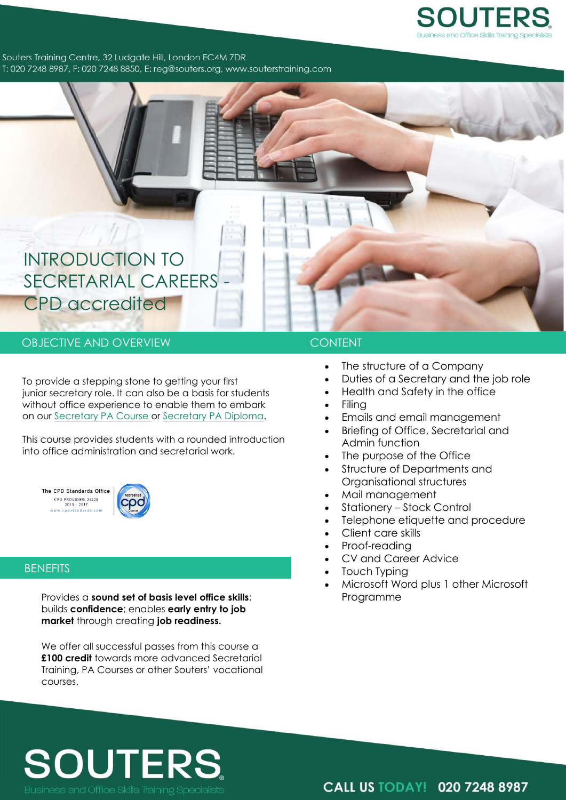

Souters Training Centre, 32 Ludgate Hill, London EC4M 7DR T: 020 7248 8987, F: 020 7248 8850, E: reg@souters.org, www.souterstraining.com

# INTRODUCTION TO SECRETARIAL CAREERS - CPD accredited

# OBJECTIVE AND OVERVIEW **CONTENT**

To provide a stepping stone to getting your first junior secretary role. It can also be a basis for students without office experience to enable them to embark on our [Secretary PA Course o](http://www.souterstraining.com/Secretary_and_PA_Courses/secretary-pa-course)r [Secretary PA](http://www.souterstraining.com/Secretary_and_PA_Courses/secretary-pa-diploma) Diploma.

This course provides students with a rounded introduction into office administration and secretarial work.

The CPD Standards Office CPD PROVIDER: 21228<br>2015 - 2017<br>www.cpdstandards.com



## **BENEFITS**

Provides a **sound set of basis level office skills**; builds **confidence**; enables **early entry to job market** through creating **job readiness.**

We offer all successful passes from this course a **£100 credit** towards more advanced Secretarial Training, PA Courses or other Souters' vocational courses.

- The structure of a Company
- Duties of a Secretary and the job role
- Health and Safety in the office
- Filing
- Emails and email management
- Briefing of Office, Secretarial and Admin function
- The purpose of the Office
- Structure of Departments and Organisational structures
- Mail management
- Stationery Stock Control
- Telephone etiquette and procedure
- Client care skills
- Proof-reading
- CV and Career Advice
- Touch Typing
- Microsoft Word plus 1 other Microsoft Programme